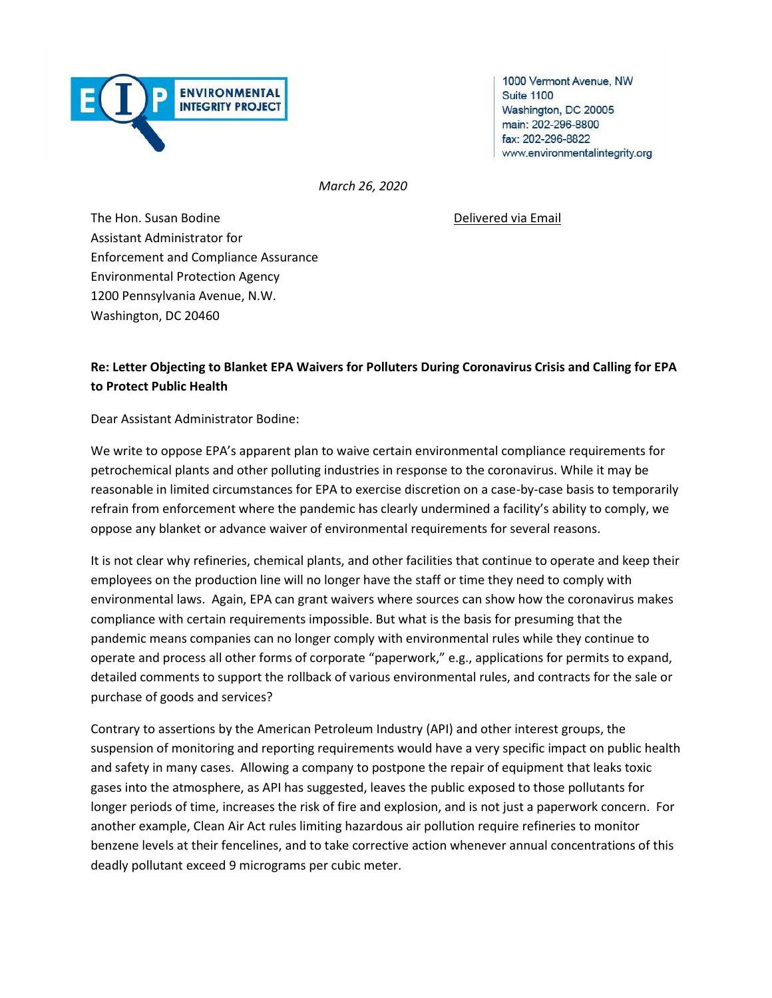

1000 Vermont Avenue, NW **Suite 1100** Washington, DC 20005 main: 202-296-8800 fax: 202-296-8822 www.environmentalintegrity.org

*March 26, 2020*

The Hon. Susan Bodine **Delivered via Email** Assistant Administrator for Enforcement and Compliance Assurance Environmental Protection Agency 1200 Pennsylvania Avenue, N.W. Washington, DC 20460

## **Re: Letter Objecting to Blanket EPA Waivers for Polluters During Coronavirus Crisis and Calling for EPA to Protect Public Health**

Dear Assistant Administrator Bodine:

We write to oppose EPA's apparent plan to waive certain environmental compliance requirements for petrochemical plants and other polluting industries in response to the coronavirus. While it may be reasonable in limited circumstances for EPA to exercise discretion on a case-by-case basis to temporarily refrain from enforcement where the pandemic has clearly undermined a facility's ability to comply, we oppose any blanket or advance waiver of environmental requirements for several reasons.

It is not clear why refineries, chemical plants, and other facilities that continue to operate and keep their employees on the production line will no longer have the staff or time they need to comply with environmental laws. Again, EPA can grant waivers where sources can show how the coronavirus makes compliance with certain requirements impossible. But what is the basis for presuming that the pandemic means companies can no longer comply with environmental rules while they continue to operate and process all other forms of corporate "paperwork," e.g., applications for permits to expand, detailed comments to support the rollback of various environmental rules, and contracts for the sale or purchase of goods and services?

Contrary to assertions by the American Petroleum Industry (API) and other interest groups, the suspension of monitoring and reporting requirements would have a very specific impact on public health and safety in many cases. Allowing a company to postpone the repair of equipment that leaks toxic gases into the atmosphere, as API has suggested, leaves the public exposed to those pollutants for longer periods of time, increases the risk of fire and explosion, and is not just a paperwork concern. For another example, Clean Air Act rules limiting hazardous air pollution require refineries to monitor benzene levels at their fencelines, and to take corrective action whenever annual concentrations of this deadly pollutant exceed 9 micrograms per cubic meter.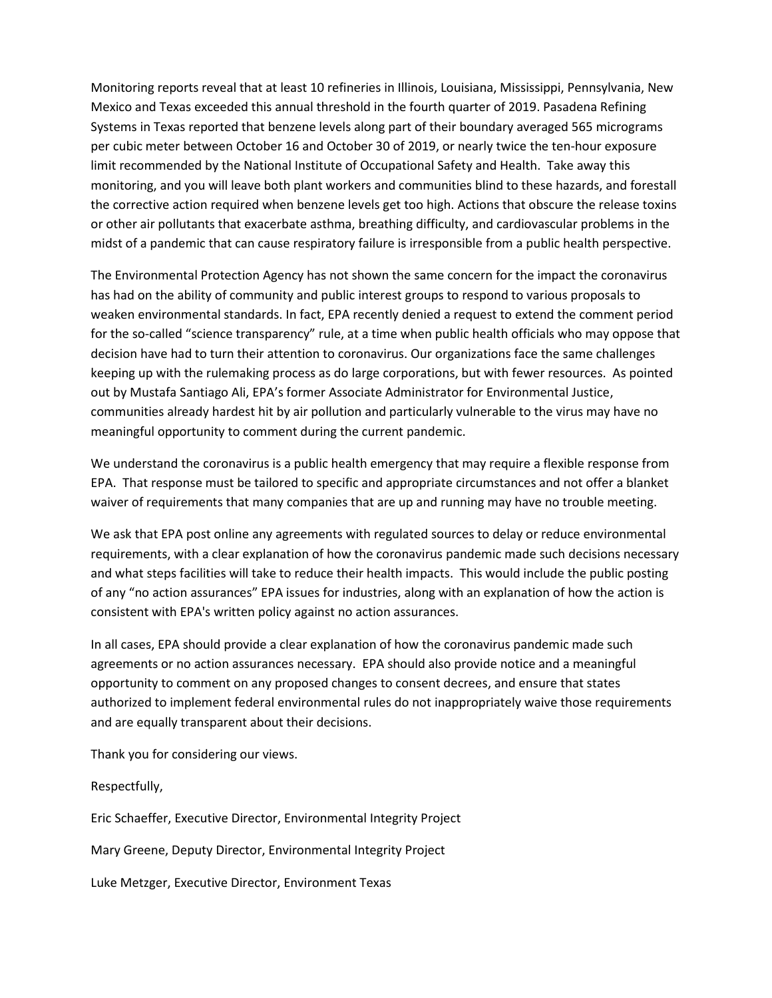Monitoring reports reveal that at least 10 refineries in Illinois, Louisiana, Mississippi, Pennsylvania, New Mexico and Texas exceeded this annual threshold in the fourth quarter of 2019. Pasadena Refining Systems in Texas reported that benzene levels along part of their boundary averaged 565 micrograms per cubic meter between October 16 and October 30 of 2019, or nearly twice the ten-hour exposure limit recommended by the National Institute of Occupational Safety and Health. Take away this monitoring, and you will leave both plant workers and communities blind to these hazards, and forestall the corrective action required when benzene levels get too high. Actions that obscure the release toxins or other air pollutants that exacerbate asthma, breathing difficulty, and cardiovascular problems in the midst of a pandemic that can cause respiratory failure is irresponsible from a public health perspective.

The Environmental Protection Agency has not shown the same concern for the impact the coronavirus has had on the ability of community and public interest groups to respond to various proposals to weaken environmental standards. In fact, EPA recently denied a request to extend the comment period for the so-called "science transparency" rule, at a time when public health officials who may oppose that decision have had to turn their attention to coronavirus. Our organizations face the same challenges keeping up with the rulemaking process as do large corporations, but with fewer resources. As pointed out by Mustafa Santiago Ali, EPA's former Associate Administrator for Environmental Justice, communities already hardest hit by air pollution and particularly vulnerable to the virus may have no meaningful opportunity to comment during the current pandemic.

We understand the coronavirus is a public health emergency that may require a flexible response from EPA. That response must be tailored to specific and appropriate circumstances and not offer a blanket waiver of requirements that many companies that are up and running may have no trouble meeting.

We ask that EPA post online any agreements with regulated sources to delay or reduce environmental requirements, with a clear explanation of how the coronavirus pandemic made such decisions necessary and what steps facilities will take to reduce their health impacts. This would include the public posting of any "no action assurances" EPA issues for industries, along with an explanation of how the action is consistent with EPA's written policy against no action assurances.

In all cases, EPA should provide a clear explanation of how the coronavirus pandemic made such agreements or no action assurances necessary. EPA should also provide notice and a meaningful opportunity to comment on any proposed changes to consent decrees, and ensure that states authorized to implement federal environmental rules do not inappropriately waive those requirements and are equally transparent about their decisions.

Thank you for considering our views.

## Respectfully,

Eric Schaeffer, Executive Director, Environmental Integrity Project

Mary Greene, Deputy Director, Environmental Integrity Project

Luke Metzger, Executive Director, Environment Texas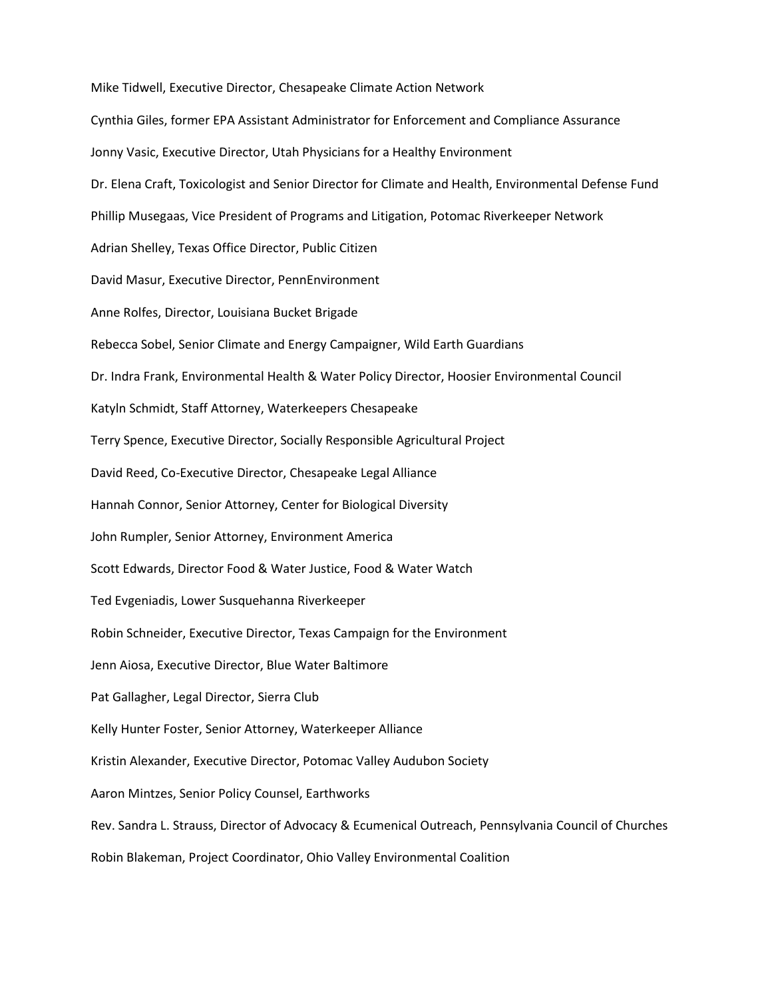Mike Tidwell, Executive Director, Chesapeake Climate Action Network Cynthia Giles, former EPA Assistant Administrator for Enforcement and Compliance Assurance Jonny Vasic, Executive Director, Utah Physicians for a Healthy Environment Dr. Elena Craft, Toxicologist and Senior Director for Climate and Health, Environmental Defense Fund Phillip Musegaas, Vice President of Programs and Litigation, Potomac Riverkeeper Network Adrian Shelley, Texas Office Director, Public Citizen David Masur, Executive Director, PennEnvironment Anne Rolfes, Director, Louisiana Bucket Brigade Rebecca Sobel, Senior Climate and Energy Campaigner, Wild Earth Guardians Dr. Indra Frank, Environmental Health & Water Policy Director, Hoosier Environmental Council Katyln Schmidt, Staff Attorney, Waterkeepers Chesapeake Terry Spence, Executive Director, Socially Responsible Agricultural Project David Reed, Co-Executive Director, Chesapeake Legal Alliance Hannah Connor, Senior Attorney, Center for Biological Diversity John Rumpler, Senior Attorney, Environment America Scott Edwards, Director Food & Water Justice, Food & Water Watch Ted Evgeniadis, Lower Susquehanna Riverkeeper Robin Schneider, Executive Director, Texas Campaign for the Environment Jenn Aiosa, Executive Director, Blue Water Baltimore Pat Gallagher, Legal Director, Sierra Club Kelly Hunter Foster, Senior Attorney, Waterkeeper Alliance Kristin Alexander, Executive Director, Potomac Valley Audubon Society Aaron Mintzes, Senior Policy Counsel, Earthworks Rev. Sandra L. Strauss, Director of Advocacy & Ecumenical Outreach, Pennsylvania Council of Churches Robin Blakeman, Project Coordinator, Ohio Valley Environmental Coalition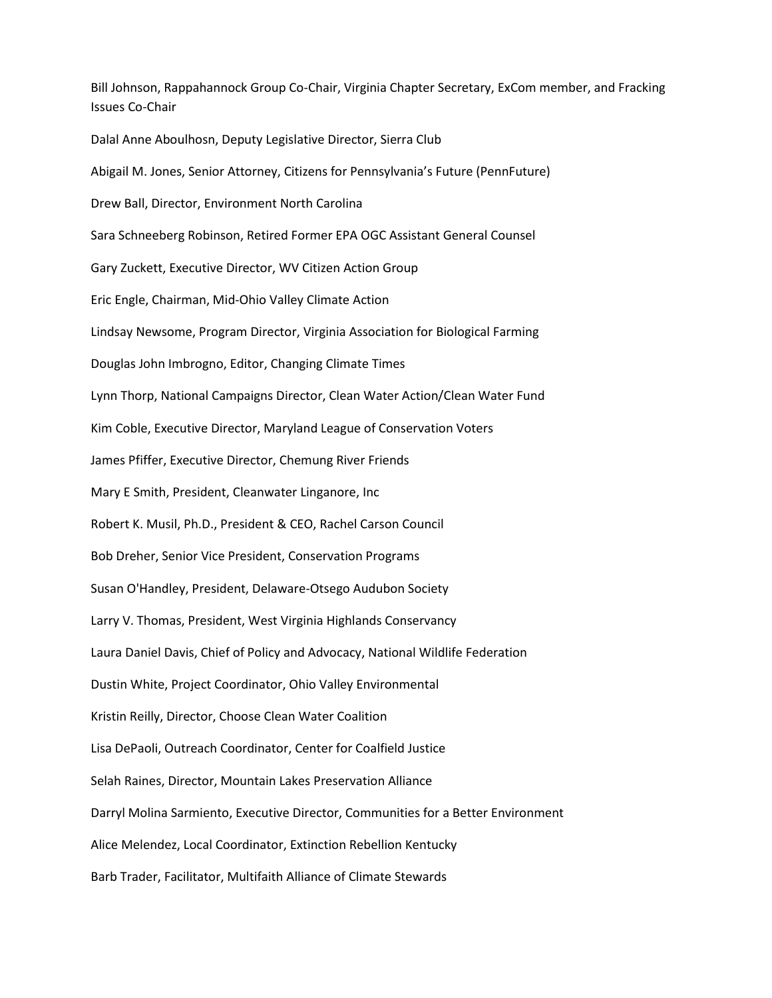Bill Johnson, Rappahannock Group Co-Chair, Virginia Chapter Secretary, ExCom member, and Fracking Issues Co-Chair Dalal Anne Aboulhosn, Deputy Legislative Director, Sierra Club Abigail M. Jones, Senior Attorney, Citizens for Pennsylvania's Future (PennFuture) Drew Ball, Director, Environment North Carolina Sara Schneeberg Robinson, Retired Former EPA OGC Assistant General Counsel Gary Zuckett, Executive Director, WV Citizen Action Group Eric Engle, Chairman, Mid-Ohio Valley Climate Action Lindsay Newsome, Program Director, Virginia Association for Biological Farming Douglas John Imbrogno, Editor, Changing Climate Times Lynn Thorp, National Campaigns Director, Clean Water Action/Clean Water Fund Kim Coble, Executive Director, Maryland League of Conservation Voters James Pfiffer, Executive Director, Chemung River Friends Mary E Smith, President, Cleanwater Linganore, Inc Robert K. Musil, Ph.D., President & CEO, Rachel Carson Council Bob Dreher, Senior Vice President, Conservation Programs Susan O'Handley, President, Delaware-Otsego Audubon Society Larry V. Thomas, President, West Virginia Highlands Conservancy Laura Daniel Davis, Chief of Policy and Advocacy, National Wildlife Federation Dustin White, Project Coordinator, Ohio Valley Environmental Kristin Reilly, Director, Choose Clean Water Coalition Lisa DePaoli, Outreach Coordinator, Center for Coalfield Justice Selah Raines, Director, Mountain Lakes Preservation Alliance Darryl Molina Sarmiento, Executive Director, Communities for a Better Environment Alice Melendez, Local Coordinator, Extinction Rebellion Kentucky Barb Trader, Facilitator, Multifaith Alliance of Climate Stewards